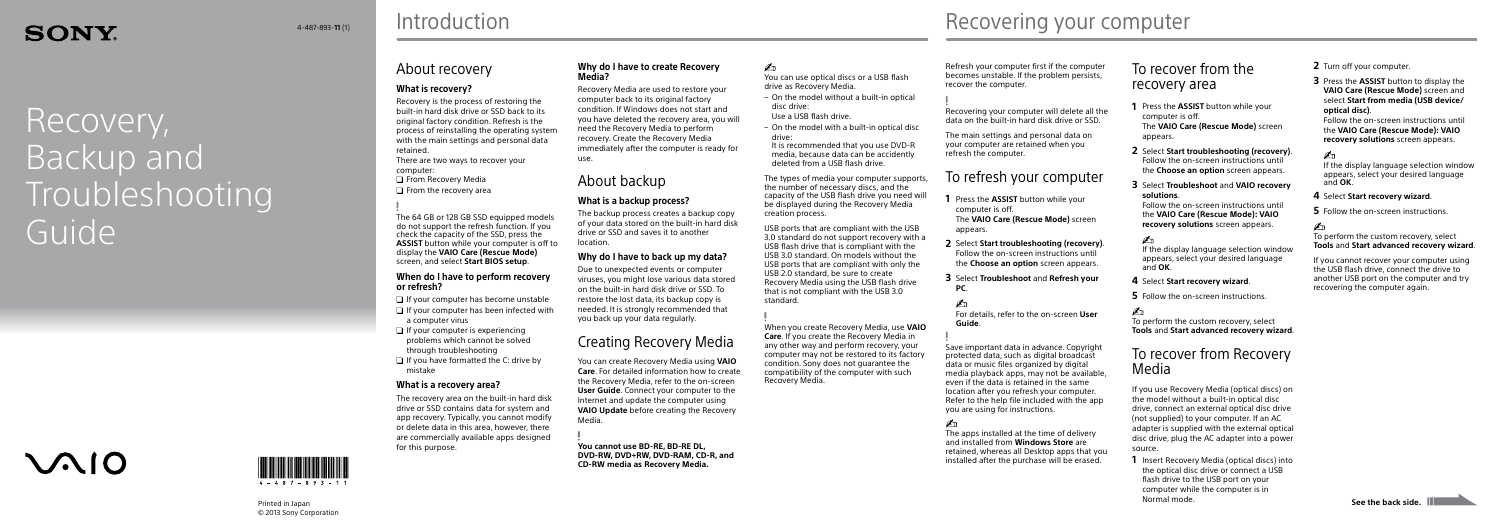# **SONY**

# Recovery, Backup and **Troubleshooting** Guide

# $\mathcal{M}$ 10



© 2013 Sony Corporation

## **Introduction**

Refresh your computer first if the computer becomes unstable. If the problem persists, recover the computer.

Recovering your computer will delete all the data on the built-in hard disk drive or SSD.

The main settings and personal data on your computer are retained when you refresh the computer.

## To refresh your computer

- **1** Press the **ASSIST** button while your computer is off. The **VAIO Care (Rescue Mode)** screen appears.
- **2** Select **Start troubleshooting (recovery)**. Follow the on-screen instructions until the **Choose an option** screen appears.
- **3** Select **Troubleshoot** and **Refresh your PC**.

For details, refer to the on-screen **User Guide**.

Save important data in advance. Copyright protected data, such as digital broadcast data or music files organized by digital media playback apps, may not be available, even if the data is retained in the same location after you refresh your computer. Refer to the help file included with the app you are using for instructions.

The apps installed at the time of delivery and installed from **Windows Store** are retained, whereas all Desktop apps that you installed after the purchase will be erased.

- **2** Turn off your computer.
- **3** Press the **ASSIST** button to display the **VAIO Care (Rescue Mode)** screen and select **Start from media (USB device/ optical disc)**.

Follow the on-screen instructions until the **VAIO Care (Rescue Mode): VAIO recovery solutions** screen appears.

### $\mathcal{L}_\mathbb{D}$

**Printed in Japan See the back side.**<br>See the back side. **1** Insert Recovery Media (optical discs) into the optical disc drive or connect a USB flash drive to the USB port on your computer while the computer is in Normal mode.

If the display language selection window appears, select your desired language and **OK**.

#### **4** Select **Start recovery wizard**.

**5** Follow the on-screen instructions.

To perform the custom recovery, select **Tools** and **Start advanced recovery wizard**.

If you cannot recover your computer using the USB flash drive, connect the drive to another USB port on the computer and try recovering the computer again.

- $\Box$  If your computer has become unstable
- $\Box$  If your computer has been infected with a computer virus
- $\Box$  If your computer is experiencing problems which cannot be solved through troubleshooting
- $\Box$  If you have formatted the C: drive by mistake

## To recover from the recovery area

- **1** Press the **ASSIST** button while your computer is off. The **VAIO Care (Rescue Mode)** screen appears.
- **2** Select **Start troubleshooting (recovery)**. Follow the on-screen instructions until the **Choose an option** screen appears.
- **3** Select **Troubleshoot** and **VAIO recovery solutions**.

Follow the on-screen instructions until the **VAIO Care (Rescue Mode): VAIO recovery solutions** screen appears.

#### $\mathbb{Z}_p$

If the display language selection window appears, select your desired language and **OK**.

#### **4** Select **Start recovery wizard**.

**5** Follow the on-screen instructions.

To perform the custom recovery, select **Tools** and **Start advanced recovery wizard**.

## To recover from Recovery Media

If you use Recovery Media (optical discs) on the model without a built-in optical disc drive, connect an external optical disc drive (not supplied) to your computer. If an AC adapter is supplied with the external optical disc drive, plug the AC adapter into a power source.

## About recovery

### **What is recovery?**

Recovery is the process of restoring the built-in hard disk drive or SSD back to its original factory condition. Refresh is the process of reinstalling the operating system with the main settings and personal data retained.

There are two ways to recover your computer:

- **O** From Recovery Media
- $\Box$  From the recovery area

The 64 GB or 128 GB SSD equipped models do not support the refresh function. If you check the capacity of the SSD, press the **ASSIST** button while your computer is off to display the **VAIO Care (Rescue Mode)** screen, and select **Start BIOS setup**.

#### **When do I have to perform recovery or refresh?**

### **What is a recovery area?**

The recovery area on the built-in hard disk drive or SSD contains data for system and app recovery. Typically, you cannot modify or delete data in this area, however, there are commercially available apps designed for this purpose.

#### **Why do I have to create Recovery Media?**

Recovery Media are used to restore your computer back to its original factory condition. If Windows does not start and you have deleted the recovery area, you will need the Recovery Media to perform recovery. Create the Recovery Media immediately after the computer is ready for use.

## About backup

#### **What is a backup process?**

The backup process creates a backup copy of your data stored on the built-in hard disk drive or SSD and saves it to another location.

### **Why do I have to back up my data?**

Due to unexpected events or computer viruses, you might lose various data stored on the built-in hard disk drive or SSD. To restore the lost data, its backup copy is needed. It is strongly recommended that you back up your data regularly.

## Creating Recovery Media

You can create Recovery Media using **VAIO Care**. For detailed information how to create the Recovery Media, refer to the on-screen **User Guide**. Connect your computer to the Internet and update the computer using **VAIO Update** before creating the Recovery Media.

**You cannot use BD-RE, BD-RE DL, DVD-RW, DVD+RW, DVD-RAM, CD-R, and CD-RW media as Recovery Media.**

# $\mathbf{Z}_1$

You can use optical discs or a USB flash drive as Recovery Media.

- On the model without a built-in optical
- Use a USB flash drive.
	-

disc drive:

 On the model with a built-in optical disc drive: It is recommended that you use DVD-R media, because data can be accidently deleted from a USB flash drive.

The types of media your computer supports, the number of necessary discs, and the capacity of the USB flash drive you need will be displayed during the Recovery Media creation process.

USB ports that are compliant with the USB 3.0 standard do not support recovery with a USB flash drive that is compliant with the USB 3.0 standard. On models without the USB ports that are compliant with only the USB 2.0 standard, be sure to create Recovery Media using the USB flash drive that is not compliant with the USB 3.0

standard.

When you create Recovery Media, use **VAIO Care**. If you create the Recovery Media in any other way and perform recovery, your computer may not be restored to its factory condition. Sony does not guarantee the compatibility of the computer with such

Recovery Media.

# $\mathcal{A}_{4\text{-487-893-11(1)}}$  Introduction **Recovering your computer**